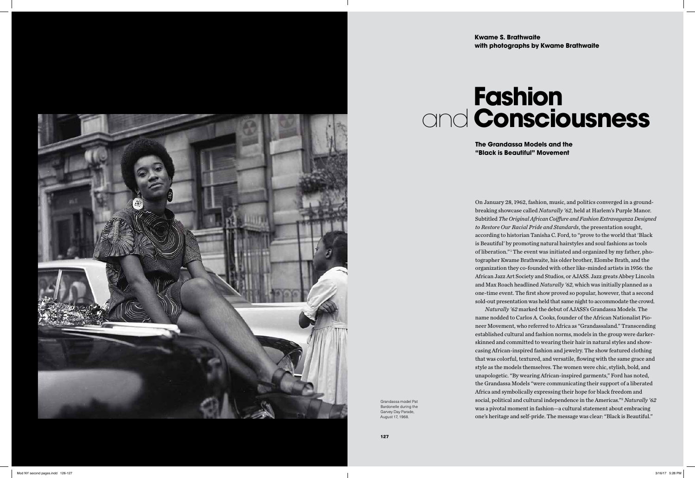On January 28, 1962, fashion, music, and politics converged in a groundbreaking showcase called *Naturally '62*, held at Harlem's Purple Manor. Subtitled *The Original African Coiffure and Fashion Extravaganza Designed to Restore Our Racial Pride and Standards*, the presentation sought, according to historian Tanisha C. Ford, to "prove to the world that 'Black is Beautiful' by promoting natural hairstyles and soul fashions as tools of liberation."<sup>1</sup> The event was initiated and organized by my father, photographer Kwame Brathwaite, his older brother, Elombe Brath, and the organization they co-founded with other like-minded artists in 1956: the African Jazz Art Society and Studios, or AJASS. Jazz greats Abbey Lincoln and Max Roach headlined *Naturally '62*, which was initially planned as a one-time event. The first show proved so popular, however, that a second sold-out presentation was held that same night to accommodate the crowd. *Naturally '62* marked the debut of AJASS's Grandassa Models. The name nodded to Carlos A. Cooks, founder of the African Nationalist Pioneer Movement, who referred to Africa as "Grandassaland." Transcending established cultural and fashion norms, models in the group were darkerskinned and committed to wearing their hair in natural styles and showcasing African-inspired fashion and jewelry. The show featured clothing that was colorful, textured, and versatile, flowing with the same grace and style as the models themselves. The women were chic, stylish, bold, and unapologetic. "By wearing African-inspired garments," Ford has noted, the Grandassa Models "were communicating their support of a liberated Africa and symbolically expressing their hope for black freedom and social, political and cultural independence in the Americas."2 *Naturally '62*  was a pivotal moment in fashion—a cultural statement about embracing one's heritage and self-pride. The message was clear: "Black is Beautiful."

Grandassa model Pat Bardonelle during the Garvey Day Parade, August 17, 1968.

## **Fashion** and **Consciousness**





**The Grandassa Models and the "Black is Beautiful" Movement**

## **Kwame S. Brathwaite with photographs by Kwame Brathwaite**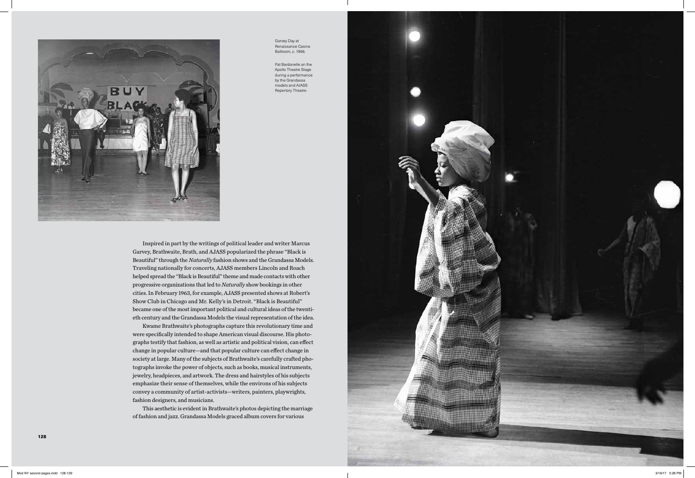

Inspired in part by the writings of political leader and writer Marcus Garvey, Brathwaite, Brath, and AJASS popularized the phrase "Black is Beautiful" through the *Naturally* fashion shows and the Grandassa Models. Traveling nationally for concerts, AJASS members Lincoln and Roach helped spread the "Black is Beautiful" theme and made contacts with other progressive organizations that led to *Naturally* show bookings in other cities. In February 1963, for example, AJASS presented shows at Robert's Show Club in Chicago and Mr. Kelly's in Detroit. "Black is Beautiful" became one of the most important political and cultural ideas of the twentieth century and the Grandassa Models the visual representation of the idea.

Kwame Brathwaite's photographs capture this revolutionary time and were specifically intended to shape American visual discourse. His photographs testify that fashion, as well as artistic and political vision, can effect change in popular culture—and that popular culture can effect change in society at large. Many of the subjects of Brathwaite's carefully crafted photographs invoke the power of objects, such as books, musical instruments, jewelry, headpieces, and artwork. The dress and hairstyles of his subjects emphasize their sense of themselves, while the environs of his subjects convey a community of artist-activists—writers, painters, playwrights, fashion designers, and musicians.

This aesthetic is evident in Brathwaite's photos depicting the marriage of fashion and jazz. Grandassa Models graced album covers for various



Garvey Day at Renaissance Casino Ballroom, c. 1966.

Pat Bardonelle on the Apollo Theatre Stage during a performance by the Grandassa models and AJASS Repertory Theatre.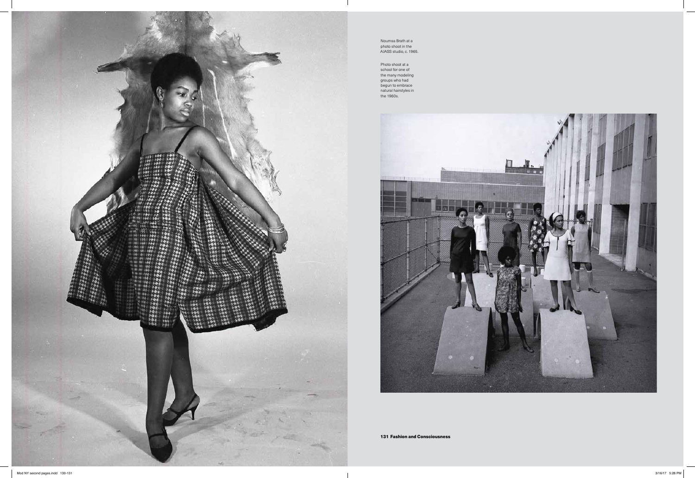131 Fashion and Consciousness

Noumsa Brath at a photo shoot in the AJASS studio, c. 1965.

Photo shoot at a school for one of the many modeling groups who had begun to embrace natural hairstyles in the 1960s.



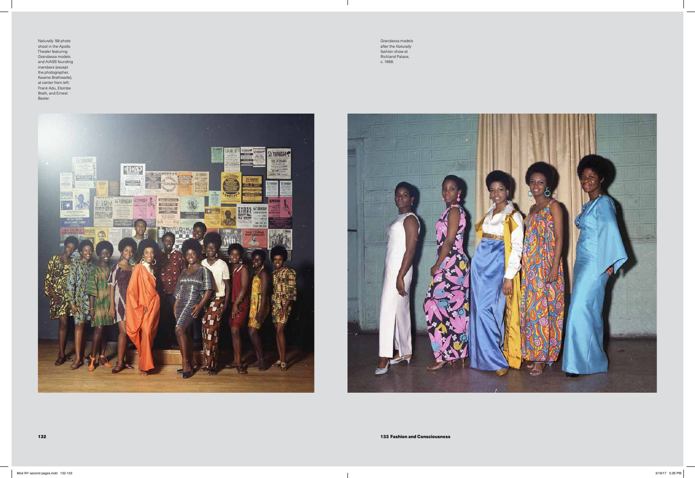Naturally '68 photo shoot in the Apollo Theater featuring Grandassa models and AJASS founding members (except the photographer, Kwame Brathwaite), at center from left: Frank Adu, Elombe Brath, and Ernest Baxter.



Grandassa models after the *Naturally* fashion show at Richland Palace, c. 1968.

 $\overline{\phantom{a}}$ 

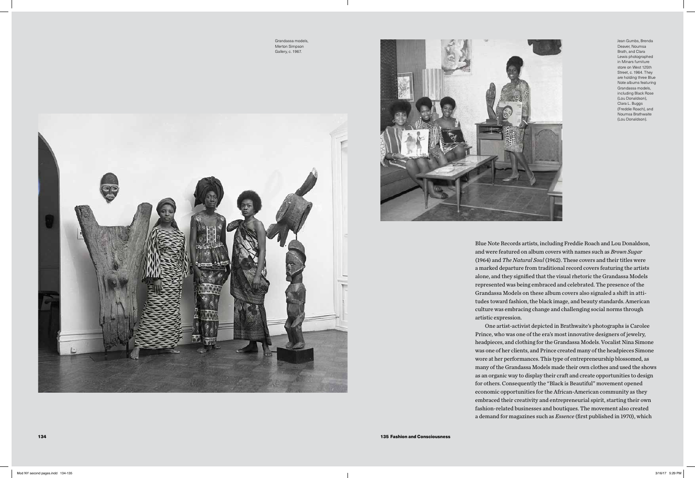Blue Note Records artists, including Freddie Roach and Lou Donaldson, and were featured on album covers with names such as *Brown Sugar*  (1964) and *The Natural Soul* (1962). These covers and their titles were a marked departure from traditional record covers featuring the artists alone, and they signified that the visual rhetoric the Grandassa Models represented was being embraced and celebrated. The presence of the Grandassa Models on these album covers also signaled a shift in attitudes toward fashion, the black image, and beauty standards. American culture was embracing change and challenging social norms through artistic expression.

One artist-activist depicted in Brathwaite's photographs is Carolee Prince, who was one of the era's most innovative designers of jewelry, headpieces, and clothing for the Grandassa Models. Vocalist Nina Simone was one of her clients, and Prince created many of the headpieces Simone wore at her performances. This type of entrepreneurship blossomed, as many of the Grandassa Models made their own clothes and used the shows as an organic way to display their craft and create opportunities to design for others. Consequently the "Black is Beautiful" movement opened economic opportunities for the African-American community as they embraced their creativity and entrepreneurial spirit, starting their own fashion-related businesses and boutiques. The movement also created a demand for magazines such as *Essence* (first published in 1970), which

135 Fashion and Consciousness

Grandassa models, Merton Simpson Gallery, c. 1967.





Jean Gumbs, Brenda Deaver, Noumsa Brath, and Clara Lewis photographed in Minars furniture store on West 125th Street, c. 1964. They are holding three Blue Note albums featuring Grandassa models, including Black Rose (Lou Donaldson), Clara L. Buggs (Freddie Roach), and Noumsa Brathwaite (Lou Donaldson).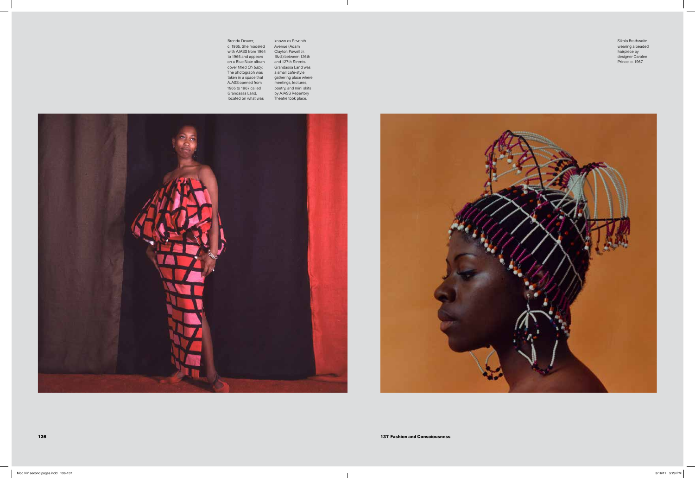136 137 Fashion and Consciousness

Brenda Deaver, c. 1965. She modeled with AJASS from 1964 to 1966 and appears on a Blue Note album cover titled *Oh Baby*. The photograph was taken in a space that AJASS opened from 1965 to 1967 called Grandassa Land, located on what was

known as Seventh Avenue (Adam Clayton Powell Jr. Blvd.) between 126th and 127th Streets. Grandassa Land was a small café-style gathering place where meetings, lectures, poetry, and mini skits by AJASS Repertory Theatre took place.





Sikolo Brathwaite wearing a beaded hairpiece by designer Carolee Prince, c. 1967.